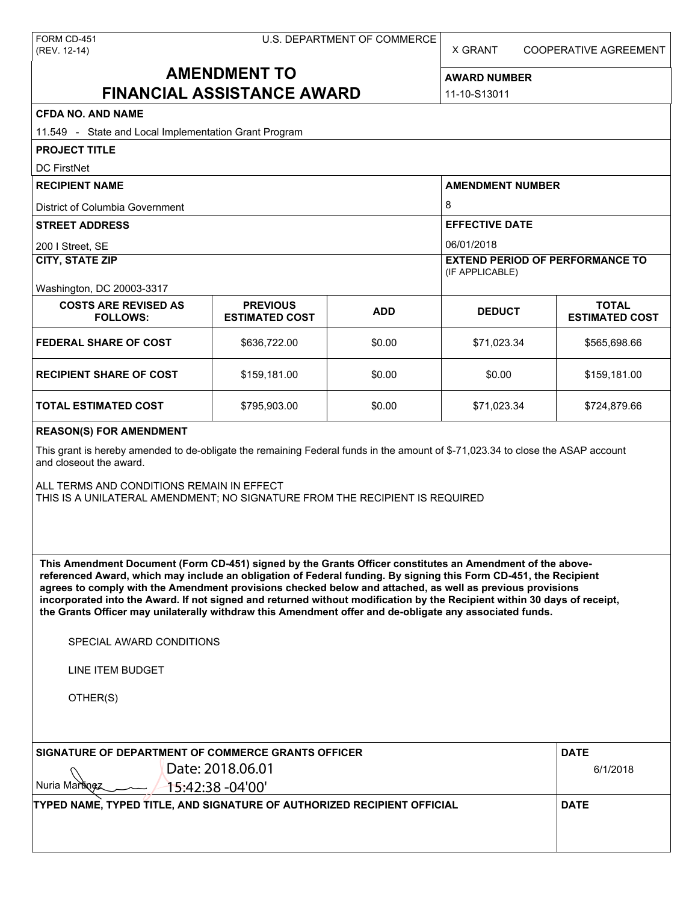X GRANT COOPERATIVE AGREEMENT

# **AMENDMENT TO FINANCIAL ASSISTANCE AWARD**

**AWARD NUMBER** 11-10-S13011

| <b>CFDA NO. AND NAME</b>                                                                                                                                                                                                                                                                                                                                                                                                                                                                                                                                                          |                                          |            |                                          |                                       |  |                           |  |  |                                        |  |  |
|-----------------------------------------------------------------------------------------------------------------------------------------------------------------------------------------------------------------------------------------------------------------------------------------------------------------------------------------------------------------------------------------------------------------------------------------------------------------------------------------------------------------------------------------------------------------------------------|------------------------------------------|------------|------------------------------------------|---------------------------------------|--|---------------------------|--|--|----------------------------------------|--|--|
| 11.549 - State and Local Implementation Grant Program                                                                                                                                                                                                                                                                                                                                                                                                                                                                                                                             |                                          |            |                                          |                                       |  |                           |  |  |                                        |  |  |
| <b>PROJECT TITLE</b>                                                                                                                                                                                                                                                                                                                                                                                                                                                                                                                                                              |                                          |            |                                          |                                       |  |                           |  |  |                                        |  |  |
| <b>DC FirstNet</b>                                                                                                                                                                                                                                                                                                                                                                                                                                                                                                                                                                |                                          |            |                                          |                                       |  |                           |  |  |                                        |  |  |
| <b>RECIPIENT NAME</b>                                                                                                                                                                                                                                                                                                                                                                                                                                                                                                                                                             |                                          |            | <b>AMENDMENT NUMBER</b>                  |                                       |  |                           |  |  |                                        |  |  |
| District of Columbia Government<br><b>STREET ADDRESS</b><br>200 I Street, SE                                                                                                                                                                                                                                                                                                                                                                                                                                                                                                      |                                          |            | 8<br><b>EFFECTIVE DATE</b><br>06/01/2018 |                                       |  |                           |  |  |                                        |  |  |
|                                                                                                                                                                                                                                                                                                                                                                                                                                                                                                                                                                                   |                                          |            |                                          |                                       |  | <b>CITY, STATE ZIP</b>    |  |  | <b>EXTEND PERIOD OF PERFORMANCE TO</b> |  |  |
|                                                                                                                                                                                                                                                                                                                                                                                                                                                                                                                                                                                   |                                          |            |                                          |                                       |  | Washington, DC 20003-3317 |  |  | (IF APPLICABLE)                        |  |  |
| <b>COSTS ARE REVISED AS</b><br><b>FOLLOWS:</b>                                                                                                                                                                                                                                                                                                                                                                                                                                                                                                                                    | <b>PREVIOUS</b><br><b>ESTIMATED COST</b> | <b>ADD</b> | <b>DEDUCT</b>                            | <b>TOTAL</b><br><b>ESTIMATED COST</b> |  |                           |  |  |                                        |  |  |
| <b>FEDERAL SHARE OF COST</b>                                                                                                                                                                                                                                                                                                                                                                                                                                                                                                                                                      | \$636,722.00                             | \$0.00     | \$71,023.34                              | \$565,698.66                          |  |                           |  |  |                                        |  |  |
| <b>RECIPIENT SHARE OF COST</b>                                                                                                                                                                                                                                                                                                                                                                                                                                                                                                                                                    | \$159,181.00                             | \$0.00     | \$0.00                                   | \$159,181.00                          |  |                           |  |  |                                        |  |  |
| <b>TOTAL ESTIMATED COST</b>                                                                                                                                                                                                                                                                                                                                                                                                                                                                                                                                                       | \$795,903.00                             | \$0.00     | \$71,023.34                              | \$724,879.66                          |  |                           |  |  |                                        |  |  |
| <b>REASON(S) FOR AMENDMENT</b>                                                                                                                                                                                                                                                                                                                                                                                                                                                                                                                                                    |                                          |            |                                          |                                       |  |                           |  |  |                                        |  |  |
| This grant is hereby amended to de-obligate the remaining Federal funds in the amount of \$-71,023.34 to close the ASAP account<br>and closeout the award.                                                                                                                                                                                                                                                                                                                                                                                                                        |                                          |            |                                          |                                       |  |                           |  |  |                                        |  |  |
| ALL TERMS AND CONDITIONS REMAIN IN EFFECT<br>THIS IS A UNILATERAL AMENDMENT; NO SIGNATURE FROM THE RECIPIENT IS REQUIRED                                                                                                                                                                                                                                                                                                                                                                                                                                                          |                                          |            |                                          |                                       |  |                           |  |  |                                        |  |  |
| This Amendment Document (Form CD-451) signed by the Grants Officer constitutes an Amendment of the above-<br>referenced Award, which may include an obligation of Federal funding. By signing this Form CD-451, the Recipient<br>agrees to comply with the Amendment provisions checked below and attached, as well as previous provisions<br>incorporated into the Award. If not signed and returned without modification by the Recipient within 30 days of receipt,<br>the Grants Officer may unilaterally withdraw this Amendment offer and de-obligate any associated funds. |                                          |            |                                          |                                       |  |                           |  |  |                                        |  |  |
| SPECIAL AWARD CONDITIONS                                                                                                                                                                                                                                                                                                                                                                                                                                                                                                                                                          |                                          |            |                                          |                                       |  |                           |  |  |                                        |  |  |
| LINE ITEM BUDGET                                                                                                                                                                                                                                                                                                                                                                                                                                                                                                                                                                  |                                          |            |                                          |                                       |  |                           |  |  |                                        |  |  |
| OTHER(S)                                                                                                                                                                                                                                                                                                                                                                                                                                                                                                                                                                          |                                          |            |                                          |                                       |  |                           |  |  |                                        |  |  |
| SIGNATURE OF DEPARTMENT OF COMMERCE GRANTS OFFICER                                                                                                                                                                                                                                                                                                                                                                                                                                                                                                                                | Date: 2018.06.01                         |            |                                          | <b>DATE</b>                           |  |                           |  |  |                                        |  |  |
| $\wedge$                                                                                                                                                                                                                                                                                                                                                                                                                                                                                                                                                                          |                                          |            |                                          | 6/1/2018                              |  |                           |  |  |                                        |  |  |

Nuria Martinez **TYPED NAME, TYPED TITLE, AND SIGNATURE OF AUTHORIZED RECIPIENT OFFICIAL DATE**  $-$  15:42:38 -04'00'